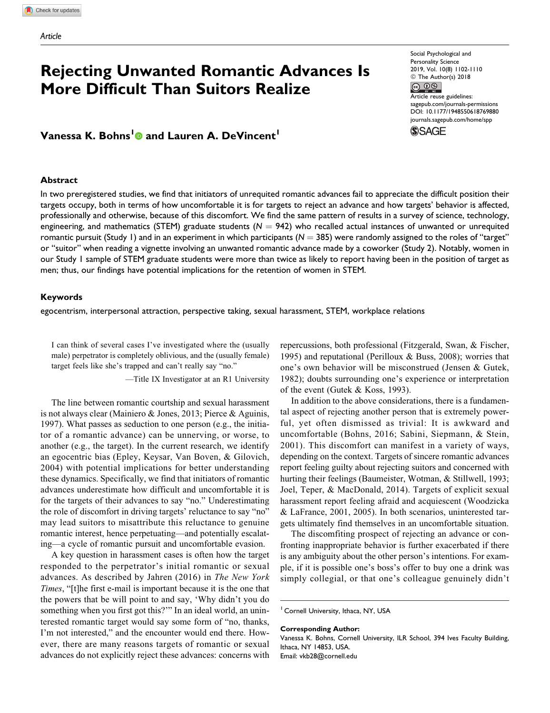# Rejecting Unwanted Romantic Advances Is<br>More Difficult Than Suitors Realize More Difficult Than Suitors Realize **Article reuse guidelines:**

# Vanessa K. Bohns<sup>1</sup> and Lauren A. DeVincent<sup>1</sup>

#### **Abstract**

Social Psychological and Personality Science

[sagepub.com/journals-permissions](https://sagepub.com/journals-permissions) DOI: [10.1177/1948550618769880](https://doi.org/10.1177/1948550618769880) [journals.sagepub.com/home/spp](http://journals.sagepub.com/home/spp)



In two preregistered studies, we find that initiators of unrequited romantic advances fail to appreciate the difficult position their targets occupy, both in terms of how uncomfortable it is for targets to reject an advance and how targets' behavior is affected, professionally and otherwise, because of this discomfort. We find the same pattern of results in a survey of science, technology, engineering, and mathematics (STEM) graduate students ( $N = 942$ ) who recalled actual instances of unwanted or unrequited romantic pursuit (Study 1) and in an experiment in which participants ( $N = 385$ ) were randomly assigned to the roles of "target" or "suitor" when reading a vignette involving an unwanted romantic advance made by a coworker (Study 2). Notably, women in our Study 1 sample of STEM graduate students were more than twice as likely to report having been in the position of target as men; thus, our findings have potential implications for the retention of women in STEM.

### Keywords

egocentrism, interpersonal attraction, perspective taking, sexual harassment, STEM, workplace relations

I can think of several cases I've investigated where the (usually male) perpetrator is completely oblivious, and the (usually female) target feels like she's trapped and can't really say "no."

—Title IX Investigator at an R1 University

The line between romantic courtship and sexual harassment is not always clear (Mainiero & Jones, 2013; Pierce & Aguinis, 1997). What passes as seduction to one person (e.g., the initiator of a romantic advance) can be unnerving, or worse, to another (e.g., the target). In the current research, we identify an egocentric bias (Epley, Keysar, Van Boven, & Gilovich, 2004) with potential implications for better understanding these dynamics. Specifically, we find that initiators of romantic advances underestimate how difficult and uncomfortable it is for the targets of their advances to say "no." Underestimating the role of discomfort in driving targets' reluctance to say "no" may lead suitors to misattribute this reluctance to genuine romantic interest, hence perpetuating—and potentially escalating—a cycle of romantic pursuit and uncomfortable evasion.

A key question in harassment cases is often how the target responded to the perpetrator's initial romantic or sexual advances. As described by Jahren (2016) in The New York Times, "[t]he first e-mail is important because it is the one that the powers that be will point to and say, 'Why didn't you do something when you first got this?"" In an ideal world, an uninterested romantic target would say some form of "no, thanks, I'm not interested," and the encounter would end there. However, there are many reasons targets of romantic or sexual advances do not explicitly reject these advances: concerns with Email: [vkb28@cornell.edu](mailto:vkb28@cornell.edu)

repercussions, both professional (Fitzgerald, Swan, & Fischer, 1995) and reputational (Perilloux & Buss, 2008); worries that one's own behavior will be misconstrued (Jensen & Gutek, 1982); doubts surrounding one's experience or interpretation of the event (Gutek & Koss, 1993).

In addition to the above considerations, there is a fundamental aspect of rejecting another person that is extremely powerful, yet often dismissed as trivial: It is awkward and uncomfortable (Bohns, 2016; Sabini, Siepmann, & Stein, 2001). This discomfort can manifest in a variety of ways, depending on the context. Targets of sincere romantic advances report feeling guilty about rejecting suitors and concerned with hurting their feelings (Baumeister, Wotman, & Stillwell, 1993; Joel, Teper, & MacDonald, 2014). Targets of explicit sexual harassment report feeling afraid and acquiescent (Woodzicka & LaFrance, 2001, 2005). In both scenarios, uninterested targets ultimately find themselves in an uncomfortable situation.

The discomfiting prospect of rejecting an advance or confronting inappropriate behavior is further exacerbated if there is any ambiguity about the other person's intentions. For example, if it is possible one's boss's offer to buy one a drink was simply collegial, or that one's colleague genuinely didn't

#### Corresponding Author:

Vanessa K. Bohns, Cornell University, ILR School, 394 Ives Faculty Building, Ithaca, NY 14853, USA.

<sup>&</sup>lt;sup>1</sup> Cornell University, Ithaca, NY, USA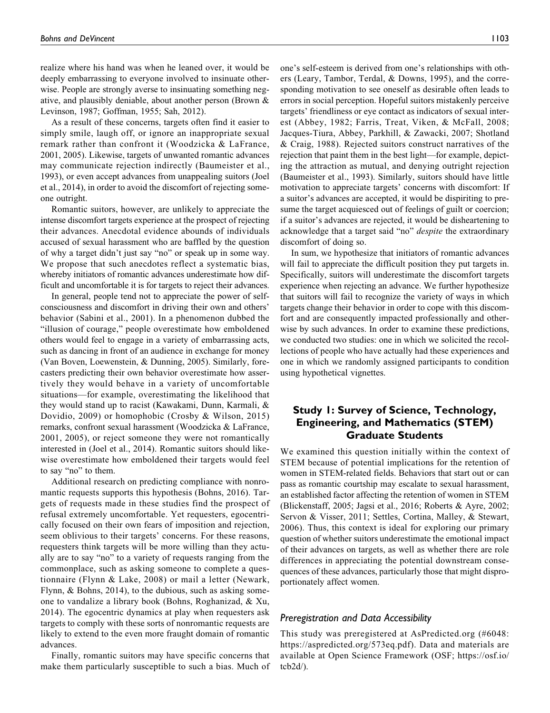realize where his hand was when he leaned over, it would be deeply embarrassing to everyone involved to insinuate otherwise. People are strongly averse to insinuating something negative, and plausibly deniable, about another person (Brown & Levinson, 1987; Goffman, 1955; Sah, 2012).

As a result of these concerns, targets often find it easier to simply smile, laugh off, or ignore an inappropriate sexual remark rather than confront it (Woodzicka & LaFrance, 2001, 2005). Likewise, targets of unwanted romantic advances may communicate rejection indirectly (Baumeister et al., 1993), or even accept advances from unappealing suitors (Joel et al., 2014), in order to avoid the discomfort of rejecting someone outright.

Romantic suitors, however, are unlikely to appreciate the intense discomfort targets experience at the prospect of rejecting their advances. Anecdotal evidence abounds of individuals accused of sexual harassment who are baffled by the question of why a target didn't just say "no" or speak up in some way. We propose that such anecdotes reflect a systematic bias, whereby initiators of romantic advances underestimate how difficult and uncomfortable it is for targets to reject their advances.

In general, people tend not to appreciate the power of selfconsciousness and discomfort in driving their own and others' behavior (Sabini et al., 2001). In a phenomenon dubbed the "illusion of courage," people overestimate how emboldened others would feel to engage in a variety of embarrassing acts, such as dancing in front of an audience in exchange for money (Van Boven, Loewenstein, & Dunning, 2005). Similarly, forecasters predicting their own behavior overestimate how assertively they would behave in a variety of uncomfortable situations—for example, overestimating the likelihood that they would stand up to racist (Kawakami, Dunn, Karmali, & Dovidio, 2009) or homophobic (Crosby & Wilson, 2015) remarks, confront sexual harassment (Woodzicka & LaFrance, 2001, 2005), or reject someone they were not romantically interested in (Joel et al., 2014). Romantic suitors should likewise overestimate how emboldened their targets would feel to say "no" to them.

Additional research on predicting compliance with nonromantic requests supports this hypothesis (Bohns, 2016). Targets of requests made in these studies find the prospect of refusal extremely uncomfortable. Yet requesters, egocentrically focused on their own fears of imposition and rejection, seem oblivious to their targets' concerns. For these reasons, requesters think targets will be more willing than they actually are to say "no" to a variety of requests ranging from the commonplace, such as asking someone to complete a questionnaire (Flynn & Lake, 2008) or mail a letter (Newark, Flynn, & Bohns, 2014), to the dubious, such as asking someone to vandalize a library book (Bohns, Roghanizad, & Xu, 2014). The egocentric dynamics at play when requesters ask targets to comply with these sorts of nonromantic requests are likely to extend to the even more fraught domain of romantic advances.

Finally, romantic suitors may have specific concerns that make them particularly susceptible to such a bias. Much of one's self-esteem is derived from one's relationships with others (Leary, Tambor, Terdal, & Downs, 1995), and the corresponding motivation to see oneself as desirable often leads to errors in social perception. Hopeful suitors mistakenly perceive targets' friendliness or eye contact as indicators of sexual interest (Abbey, 1982; Farris, Treat, Viken, & McFall, 2008; Jacques-Tiura, Abbey, Parkhill, & Zawacki, 2007; Shotland & Craig, 1988). Rejected suitors construct narratives of the rejection that paint them in the best light—for example, depicting the attraction as mutual, and denying outright rejection (Baumeister et al., 1993). Similarly, suitors should have little motivation to appreciate targets' concerns with discomfort: If a suitor's advances are accepted, it would be dispiriting to presume the target acquiesced out of feelings of guilt or coercion; if a suitor's advances are rejected, it would be disheartening to acknowledge that a target said "no" *despite* the extraordinary discomfort of doing so.

In sum, we hypothesize that initiators of romantic advances will fail to appreciate the difficult position they put targets in. Specifically, suitors will underestimate the discomfort targets experience when rejecting an advance. We further hypothesize that suitors will fail to recognize the variety of ways in which targets change their behavior in order to cope with this discomfort and are consequently impacted professionally and otherwise by such advances. In order to examine these predictions, we conducted two studies: one in which we solicited the recollections of people who have actually had these experiences and one in which we randomly assigned participants to condition using hypothetical vignettes.

# Study 1: Survey of Science, Technology, Engineering, and Mathematics (STEM) Graduate Students

We examined this question initially within the context of STEM because of potential implications for the retention of women in STEM-related fields. Behaviors that start out or can pass as romantic courtship may escalate to sexual harassment, an established factor affecting the retention of women in STEM (Blickenstaff, 2005; Jagsi et al., 2016; Roberts & Ayre, 2002; Servon & Visser, 2011; Settles, Cortina, Malley, & Stewart, 2006). Thus, this context is ideal for exploring our primary question of whether suitors underestimate the emotional impact of their advances on targets, as well as whether there are role differences in appreciating the potential downstream consequences of these advances, particularly those that might disproportionately affect women.

## Preregistration and Data Accessibility

This study was preregistered at [AsPredicted.org](https://AsPredicted.org) (#6048: [https://aspredicted.org/573eq.pdf\)](https://aspredicted.org/573eq.pdf). Data and materials are available at Open Science Framework (OSF; [https://osf.io/](https://osf.io/tcb2d/) [tcb2d/\)](https://osf.io/tcb2d/).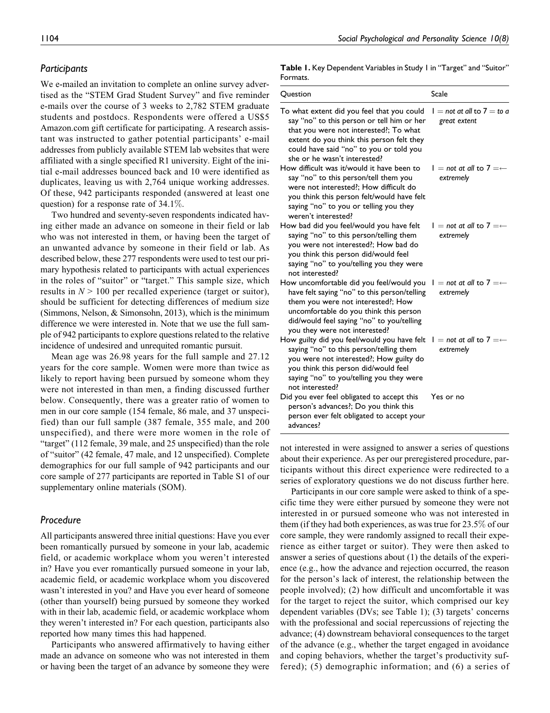### **Participants**

We e-mailed an invitation to complete an online survey advertised as the "STEM Grad Student Survey" and five reminder e-mails over the course of 3 weeks to 2,782 STEM graduate students and postdocs. Respondents were offered a US\$5 [Amazon.com](https://Amazon.com) gift certificate for participating. A research assistant was instructed to gather potential participants' e-mail addresses from publicly available STEM lab websites that were affiliated with a single specified R1 university. Eight of the initial e-mail addresses bounced back and 10 were identified as duplicates, leaving us with 2,764 unique working addresses. Of these, 942 participants responded (answered at least one question) for a response rate of 34.1%.

Two hundred and seventy-seven respondents indicated having either made an advance on someone in their field or lab who was not interested in them, or having been the target of an unwanted advance by someone in their field or lab. As described below, these 277 respondents were used to test our primary hypothesis related to participants with actual experiences in the roles of "suitor" or "target." This sample size, which results in  $N > 100$  per recalled experience (target or suitor), should be sufficient for detecting differences of medium size (Simmons, Nelson, & Simonsohn, 2013), which is the minimum difference we were interested in. Note that we use the full sample of 942 participants to explore questions related to the relative incidence of undesired and unrequited romantic pursuit.

Mean age was 26.98 years for the full sample and 27.12 years for the core sample. Women were more than twice as likely to report having been pursued by someone whom they were not interested in than men, a finding discussed further below. Consequently, there was a greater ratio of women to men in our core sample (154 female, 86 male, and 37 unspecified) than our full sample (387 female, 355 male, and 200 unspecified), and there were more women in the role of "target" (112 female, 39 male, and 25 unspecified) than the role of "suitor" (42 female, 47 male, and 12 unspecified). Complete demographics for our full sample of 942 participants and our core sample of 277 participants are reported in Table S1 of our supplementary online materials (SOM).

# Procedure

All participants answered three initial questions: Have you ever been romantically pursued by someone in your lab, academic field, or academic workplace whom you weren't interested in? Have you ever romantically pursued someone in your lab, academic field, or academic workplace whom you discovered wasn't interested in you? and Have you ever heard of someone (other than yourself) being pursued by someone they worked with in their lab, academic field, or academic workplace whom they weren't interested in? For each question, participants also reported how many times this had happened.

Participants who answered affirmatively to having either made an advance on someone who was not interested in them or having been the target of an advance by someone they were

Table I. Key Dependent Variables in Study I in "Target" and "Suitor" Formats.

| Question                                                                                                                                                                                                                                                   | Scale                                             |
|------------------------------------------------------------------------------------------------------------------------------------------------------------------------------------------------------------------------------------------------------------|---------------------------------------------------|
| To what extent did you feel that you could<br>say "no" to this person or tell him or her<br>that you were not interested?; To what<br>extent do you think this person felt they<br>could have said "no" to you or told you<br>she or he wasn't interested? | $l = not$ at all to $7 = to$ a<br>great extent    |
| How difficult was it/would it have been to<br>say "no" to this person/tell them you<br>were not interested?: How difficult do<br>you think this person felt/would have felt<br>saying "no" to you or telling you they<br>weren't interested?               | $I = not$ at all to $7 = \leftarrow$<br>extremely |
| How bad did you feel/would you have felt<br>saying "no" to this person/telling them<br>you were not interested?; How bad do<br>you think this person did/would feel<br>saying "no" to you/telling you they were<br>not interested?                         | $I = not$ at all to $7 = \leftarrow$<br>extremely |
| How uncomfortable did you feel/would you<br>have felt saying "no" to this person/telling<br>them you were not interested?; How<br>uncomfortable do you think this person<br>did/would feel saying "no" to you/telling<br>you they were not interested?     | $I = not$ at all to $7 = \leftarrow$<br>extremely |
| How guilty did you feel/would you have felt<br>saying "no" to this person/telling them<br>you were not interested?; How guilty do<br>you think this person did/would feel<br>saying "no" to you/telling you they were<br>not interested?                   | $I = not$ at all to $7 = \leftarrow$<br>extremely |
| Did you ever feel obligated to accept this<br>person's advances?; Do you think this<br>person ever felt obligated to accept your<br>advances?                                                                                                              | Yes or no                                         |

not interested in were assigned to answer a series of questions about their experience. As per our preregistered procedure, participants without this direct experience were redirected to a series of exploratory questions we do not discuss further here.

Participants in our core sample were asked to think of a specific time they were either pursued by someone they were not interested in or pursued someone who was not interested in them (if they had both experiences, as was true for 23.5% of our core sample, they were randomly assigned to recall their experience as either target or suitor). They were then asked to answer a series of questions about (1) the details of the experience (e.g., how the advance and rejection occurred, the reason for the person's lack of interest, the relationship between the people involved); (2) how difficult and uncomfortable it was for the target to reject the suitor, which comprised our key dependent variables (DVs; see Table 1); (3) targets' concerns with the professional and social repercussions of rejecting the advance; (4) downstream behavioral consequences to the target of the advance (e.g., whether the target engaged in avoidance and coping behaviors, whether the target's productivity suffered); (5) demographic information; and (6) a series of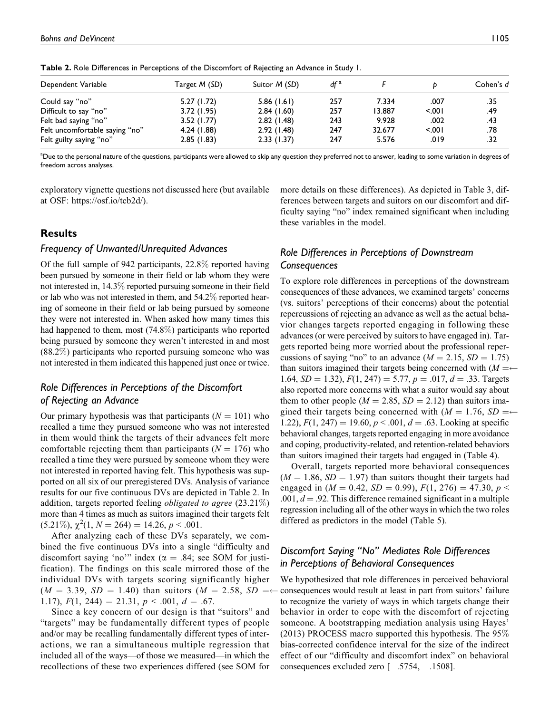| Dependent Variable             | Target M (SD) | Suitor <i>M</i> (SD) | $df^a$ |        |        | Cohen's d |
|--------------------------------|---------------|----------------------|--------|--------|--------|-----------|
| Could say "no"                 | 5.27(1.72)    | 5.86(1.61)           | 257    | 7.334  | .007   | .35       |
| Difficult to say "no"          | 3.72(1.95)    | 2.84(1.60)           | 257    | 13.887 | < 0.01 | .49       |
| Felt bad saying "no"           | 3.52(1.77)    | 2.82(1.48)           | 243    | 9.928  | .002   | .43       |
| Felt uncomfortable saying "no" | 4.24 (1.88)   | 2.92(1.48)           | 247    | 32.677 | 5001   | .78       |
| Felt guilty saying "no"        | 2.85(1.83)    | 2.33(1.37)           | 247    | 5.576  | .019   | .32       |

Table 2. Role Differences in Perceptions of the Discomfort of Rejecting an Advance in Study 1.

<sup>a</sup>Due to the personal nature of the questions, participants were allowed to skip any question they preferred not to answer, leading to some variation in degrees of freedom across analyses.

exploratory vignette questions not discussed here (but available at OSF: [https://osf.io/tcb2d/\)](https://osf.io/tcb2d/).

# **Results**

#### Frequency of Unwanted/Unrequited Advances

Of the full sample of 942 participants, 22.8% reported having been pursued by someone in their field or lab whom they were not interested in, 14.3% reported pursuing someone in their field or lab who was not interested in them, and 54.2% reported hearing of someone in their field or lab being pursued by someone they were not interested in. When asked how many times this had happened to them, most (74.8%) participants who reported being pursued by someone they weren't interested in and most (88.2%) participants who reported pursuing someone who was not interested in them indicated this happened just once or twice.

# Role Differences in Perceptions of the Discomfort of Rejecting an Advance

Our primary hypothesis was that participants ( $N = 101$ ) who recalled a time they pursued someone who was not interested in them would think the targets of their advances felt more comfortable rejecting them than participants ( $N = 176$ ) who recalled a time they were pursued by someone whom they were not interested in reported having felt. This hypothesis was supported on all six of our preregistered DVs. Analysis of variance results for our five continuous DVs are depicted in Table 2. In addition, targets reported feeling *obligated to agree*  $(23.21\%)$ more than 4 times as much as suitors imagined their targets felt  $(5.21\%), \chi^2(1, N = 264) = 14.26, p < .001.$ 

After analyzing each of these DVs separately, we combined the five continuous DVs into a single "difficulty and discomfort saying 'no'" index ( $\alpha = .84$ ; see SOM for justification). The findings on this scale mirrored those of the individual DVs with targets scoring significantly higher  $(M = 3.39, SD = 1.40)$  than suitors  $(M = 2.58, SD = 4.40)$ 1.17),  $F(1, 244) = 21.31, p < .001, d = .67.$ 

Since a key concern of our design is that "suitors" and "targets" may be fundamentally different types of people and/or may be recalling fundamentally different types of interactions, we ran a simultaneous multiple regression that included all of the ways—of those we measured—in which the recollections of these two experiences differed (see SOM for

more details on these differences). As depicted in Table 3, differences between targets and suitors on our discomfort and difficulty saying "no" index remained significant when including these variables in the model.

# Role Differences in Perceptions of Downstream **Consequences**

To explore role differences in perceptions of the downstream consequences of these advances, we examined targets' concerns (vs. suitors' perceptions of their concerns) about the potential repercussions of rejecting an advance as well as the actual behavior changes targets reported engaging in following these advances (or were perceived by suitors to have engaged in). Targets reported being more worried about the professional repercussions of saying "no" to an advance  $(M = 2.15, SD = 1.75)$ than suitors imagined their targets being concerned with  $(M = \leftarrow$ 1.64,  $SD = 1.32$ ),  $F(1, 247) = 5.77$ ,  $p = .017$ ,  $d = .33$ . Targets also reported more concerns with what a suitor would say about them to other people ( $M = 2.85$ ,  $SD = 2.12$ ) than suitors imagined their targets being concerned with  $(M = 1.76, SD = \leftarrow$ 1.22),  $F(1, 247) = 19.60, p < .001, d = .63$ . Looking at specific behavioral changes, targets reported engaging in more avoidance and coping, productivity-related, and retention-related behaviors than suitors imagined their targets had engaged in (Table 4).

Overall, targets reported more behavioral consequences  $(M = 1.86, SD = 1.97)$  than suitors thought their targets had engaged in ( $M = 0.42$ ,  $SD = 0.99$ ),  $F(1, 276) = 47.30$ ,  $p <$  $.001, d = .92$ . This difference remained significant in a multiple regression including all of the other ways in which the two roles differed as predictors in the model (Table 5).

# Discomfort Saying "No" Mediates Role Differences in Perceptions of Behavioral Consequences

 consequences excluded zero [ .5754, .1508].We hypothesized that role differences in perceived behavioral consequences would result at least in part from suitors' failure to recognize the variety of ways in which targets change their behavior in order to cope with the discomfort of rejecting someone. A bootstrapping mediation analysis using Hayes' (2013) PROCESS macro supported this hypothesis. The  $95\%$ bias-corrected confidence interval for the size of the indirect effect of our "difficulty and discomfort index" on behavioral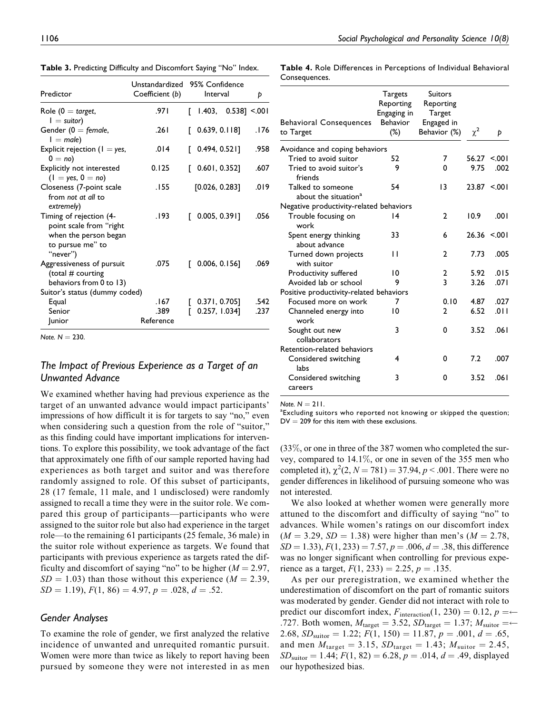Table 3. Predicting Difficulty and Discomfort Saying "No" Index.

| Table 4. Role Differences in Perceptions of Individual Behavioral |
|-------------------------------------------------------------------|
| Consequences.                                                     |
|                                                                   |

| Predictor                                                                                                   | Unstandardized<br>Coefficient (b)<br>Interval |  | 95% Confidence               | Þ    |  |
|-------------------------------------------------------------------------------------------------------------|-----------------------------------------------|--|------------------------------|------|--|
| Role (0 $=$ target,<br>$I =$ suitor)                                                                        | .97۱                                          |  | $\lceil$ 1.403, 0.538] <.001 |      |  |
| Gender ( $0 =$ female,<br>$I = male$                                                                        | .261                                          |  | [0.639, 0.118]               | .176 |  |
| Explicit rejection ( $I = yes$ ,<br>$0 = no$ )                                                              | .014                                          |  | [0.494, 0.52]                | .958 |  |
| Explicitly not interested<br>$(1 = yes, 0 = no)$                                                            | 0.125                                         |  | [0.601, 0.352]               | .607 |  |
| Closeness (7-point scale<br>from not at all to<br>extremely)                                                | .155                                          |  | [0.026, 0.283]               | .019 |  |
| Timing of rejection (4-<br>point scale from "right<br>when the person began<br>to pursue me" to<br>"never") | .193                                          |  | [0.005, 0.391]               | .056 |  |
| Aggressiveness of pursuit<br>(total # courting<br>behaviors from 0 to 13)                                   | .075                                          |  | $0.006, 0.156$ ]             | .069 |  |
| Suitor's status (dummy coded)                                                                               |                                               |  |                              |      |  |
| Equal                                                                                                       | .167                                          |  | $0.371, 0.705$ ]             | .542 |  |
| Senior                                                                                                      | .389                                          |  | 0.257, 1.034]                | .237 |  |
| <b>Junior</b>                                                                                               | Reference                                     |  |                              |      |  |

Note.  $N = 230$ .

# The Impact of Previous Experience as a Target of an Unwanted Advance

We examined whether having had previous experience as the target of an unwanted advance would impact participants' impressions of how difficult it is for targets to say "no," even when considering such a question from the role of "suitor," as this finding could have important implications for interventions. To explore this possibility, we took advantage of the fact that approximately one fifth of our sample reported having had experiences as both target and suitor and was therefore randomly assigned to role. Of this subset of participants, 28 (17 female, 11 male, and 1 undisclosed) were randomly assigned to recall a time they were in the suitor role. We compared this group of participants—participants who were assigned to the suitor role but also had experience in the target role—to the remaining 61 participants (25 female, 36 male) in the suitor role without experience as targets. We found that participants with previous experience as targets rated the difficulty and discomfort of saying "no" to be higher  $(M = 2.97,$  $SD = 1.03$ ) than those without this experience ( $M = 2.39$ ,  $SD = 1.19$ ,  $F(1, 86) = 4.97$ ,  $p = .028$ ,  $d = .52$ .

# Gender Analyses

To examine the role of gender, we first analyzed the relative incidence of unwanted and unrequited romantic pursuit. Women were more than twice as likely to report having been pursued by someone they were not interested in as men

|                                                       | Targets     |                |          |                  |
|-------------------------------------------------------|-------------|----------------|----------|------------------|
|                                                       | Reporting   | Reporting      |          |                  |
|                                                       | Engaging in | Target         |          |                  |
| <b>Behavioral Consequences</b>                        | Behavior    | Engaged in     |          |                  |
| to Target                                             | $(\%)$      | Behavior (%)   | $\chi^2$ | Þ                |
| Avoidance and coping behaviors                        |             |                |          |                  |
| Tried to avoid suitor                                 | 52          | 7              | 56.27    | 5.001            |
| Tried to avoid suitor's<br>friends                    | 9           | 0              | 9.75     | .002             |
| Talked to someone<br>about the situation <sup>a</sup> | 54          | 13             |          | $23.87 \le 0.01$ |
| Negative productivity-related behaviors               |             |                |          |                  |
| Trouble focusing on<br>work                           | 14          | $\mathbf{2}$   | 10.9     | .001             |
| Spent energy thinking<br>about advance                | 33          | 6              |          | $26.36 \le 0.01$ |
| Turned down projects<br>with suitor                   | П           | 2              | 7.73     | .005             |
| Productivity suffered                                 | 10          | 2              | 5.92     | .015             |
| Avoided lab or school                                 | 9           | 3              | 3.26     | .071             |
| Positive productivity-related behaviors               |             |                |          |                  |
| Focused more on work                                  | 7           | 0.10           | 4.87     | .027             |
| Channeled energy into<br>work                         | 10          | $\mathfrak{p}$ | 6.52     | .011             |
| Sought out new<br>collaborators                       | 3           | 0              | 3.52     | .061             |
| Retention-related behaviors                           |             |                |          |                  |
| Considered switching<br>labs                          | 4           | 0              | 7.2      | .007             |
| Considered switching<br>careers                       | 3           | 0              | 3.52     | .061             |

Note.  $N = 211$ .

<sup>a</sup>Excluding suitors who reported not knowing or skipped the question;  $DV = 209$  for this item with these exclusions.

(33%, or one in three of the 387 women who completed the survey, compared to 14.1%, or one in seven of the 355 men who completed it),  $\chi^2(2, N = 781) = 37.94, p < .001$ . There were no gender differences in likelihood of pursuing someone who was not interested.

We also looked at whether women were generally more attuned to the discomfort and difficulty of saying "no" to advances. While women's ratings on our discomfort index  $(M = 3.29, SD = 1.38)$  were higher than men's  $(M = 2.78,$  $SD = 1.33$ ,  $F(1, 233) = 7.57$ ,  $p = .006$ ,  $d = .38$ , this difference was no longer significant when controlling for previous experience as a target,  $F(1, 233) = 2.25$ ,  $p = .135$ .

As per our preregistration, we examined whether the underestimation of discomfort on the part of romantic suitors was moderated by gender. Gender did not interact with role to predict our discomfort index,  $F_{\text{interaction}}(1, 230) = 0.12, p = \leftarrow$ .727. Both women,  $M_{\text{target}} = 3.52$ ,  $SD_{\text{target}} = 1.37$ ;  $M_{\text{suitar}} = \leftarrow$ 2.68,  $SD_{\text{subor}} = 1.22$ ;  $F(1, 150) = 11.87$ ,  $p = .001$ ,  $d = .65$ , and men  $M_{\text{target}} = 3.15$ ,  $SD_{\text{target}} = 1.43$ ;  $M_{\text{sultor}} = 2.45$ ,  $SD<sub>suitor</sub> = 1.44; F(1, 82) = 6.28, p = .014, d = .49$ , displayed our hypothesized bias.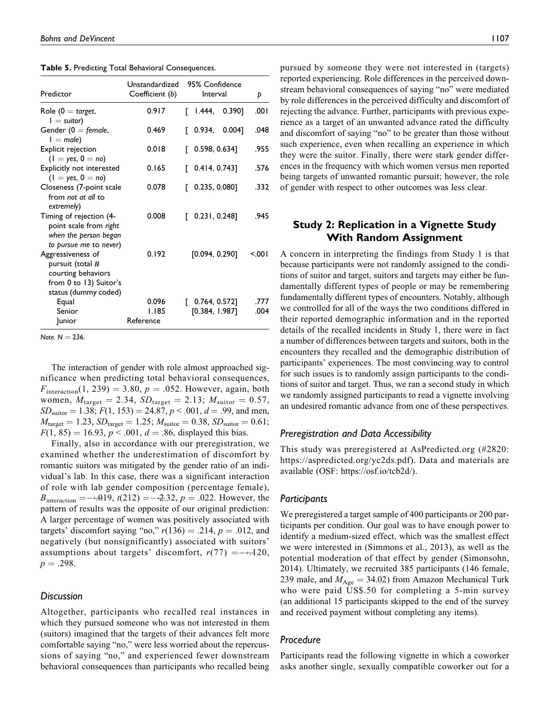Table 5. Predicting Total Behavioral Consequences.

| Predictor                                                                                            | Unstandardized<br>Coefficient (b) | 95% Confidence<br>Interval         | Þ            |
|------------------------------------------------------------------------------------------------------|-----------------------------------|------------------------------------|--------------|
| Role (0 $=$ target,<br>$I =$ suitor)                                                                 | 0.917                             | Г<br>1.444,<br>0.390]              | .001         |
| Gender ( $0 =$ female,<br>$I = male$                                                                 | 0.469                             | 0.934,<br>0.004]                   | .048         |
| Explicit rejection<br>$(1 = yes, 0 = no)$                                                            | 0.018                             | 0.598, 0.634]                      | .955         |
| Explicitly not interested<br>$(1 = yes, 0 = no)$                                                     | 0.165                             | $0.414, 0.743$ ]<br>Г              | .576         |
| Closeness (7-point scale<br>from not at all to<br>extremely)                                         | 0.078                             | 0.235, 0.080]                      | .332         |
| Timing of rejection (4-<br>point scale from right<br>when the person began<br>to pursue me to never) | 0.008                             | $0.231, 0.248$ ]<br>Г              | .945         |
| Aggressiveness of<br>pursuit (total #<br>courting behaviors<br>from 0 to 13) Suitor's                | 0.192                             | [0.094, 0.290]                     | < 001        |
| status (dummy coded)<br>Equal<br>Senior<br><b>Junior</b>                                             | 0.096<br>1.185<br>Reference       | $0.764, 0.572$ ]<br>[0.384, 1.987] | .777<br>.004 |

Note.  $N = 236$ .

The interaction of gender with role almost approached significance when predicting total behavioral consequences,  $F_{\text{interaction}}(1, 239) = 3.80, p = .052$ . However, again, both women,  $M_{\text{target}} = 2.34$ ,  $SD_{\text{target}} = 2.13$ ;  $M_{\text{suiten}} = 0.57$ ,  $SD<sub>suitor</sub> = 1.38; F(1, 153) = 24.87, p < .001, d = .99$ , and men,  $M_{\text{target}} = 1.23, SD_{\text{target}} = 1.25; M_{\text{suitor}} = 0.38, SD_{\text{suitor}} = 0.61;$  $F(1, 85) = 16.93, p < .001, d = .86$ , displayed this bias.

Finally, also in accordance with our preregistration, we examined whether the underestimation of discomfort by romantic suitors was mitigated by the gender ratio of an individual's lab. In this case, there was a significant interaction of role with lab gender composition (percentage female),  $B_{\text{interaction}} = -0.019$ ,  $t(212) = -0.32$ ,  $p = 0.022$ . However, the pattern of results was the opposite of our original prediction: A larger percentage of women was positively associated with targets' discomfort saying "no,"  $r(136) = .214$ ,  $p = .012$ , and negatively (but nonsignificantly) associated with suitors' assumptions about targets' discomfort,  $r(77) = -0.120$ ,  $p = .298$ .

#### Discussion

Altogether, participants who recalled real instances in which they pursued someone who was not interested in them (suitors) imagined that the targets of their advances felt more comfortable saying "no," were less worried about the repercussions of saying "no," and experienced fewer downstream behavioral consequences than participants who recalled being pursued by someone they were not interested in (targets) reported experiencing. Role differences in the perceived downstream behavioral consequences of saying "no" were mediated by role differences in the perceived difficulty and discomfort of rejecting the advance. Further, participants with previous experience as a target of an unwanted advance rated the difficulty and discomfort of saying "no" to be greater than those without such experience, even when recalling an experience in which they were the suitor. Finally, there were stark gender differences in the frequency with which women versus men reported being targets of unwanted romantic pursuit; however, the role of gender with respect to other outcomes was less clear.

# Study 2: Replication in a Vignette Study With Random Assignment

A concern in interpreting the findings from Study 1 is that because participants were not randomly assigned to the conditions of suitor and target, suitors and targets may either be fundamentally different types of people or may be remembering fundamentally different types of encounters. Notably, although we controlled for all of the ways the two conditions differed in their reported demographic information and in the reported details of the recalled incidents in Study 1, there were in fact a number of differences between targets and suitors, both in the encounters they recalled and the demographic distribution of participants' experiences. The most convincing way to control for such issues is to randomly assign participants to the conditions of suitor and target. Thus, we ran a second study in which we randomly assigned participants to read a vignette involving an undesired romantic advance from one of these perspectives.

### Preregistration and Data Accessibility

This study was preregistered at [AsPredicted.org](https://AsPredicted.org) (#2820: <https://aspredicted.org/yc2ds.pdf>). Data and materials are available (OSF: [https://osf.io/tcb2d/\)](https://osf.io/tcb2d/).

### Participants

We preregistered a target sample of 400 participants or 200 participants per condition. Our goal was to have enough power to identify a medium-sized effect, which was the smallest effect we were interested in (Simmons et al., 2013), as well as the potential moderation of that effect by gender (Simonsohn, 2014). Ultimately, we recruited 385 participants (146 female, 239 male, and  $M_{\text{Age}} = 34.02$ ) from Amazon Mechanical Turk who were paid US\$.50 for completing a 5-min survey (an additional 15 participants skipped to the end of the survey and received payment without completing any items).

# Procedure

Participants read the following vignette in which a coworker asks another single, sexually compatible coworker out for a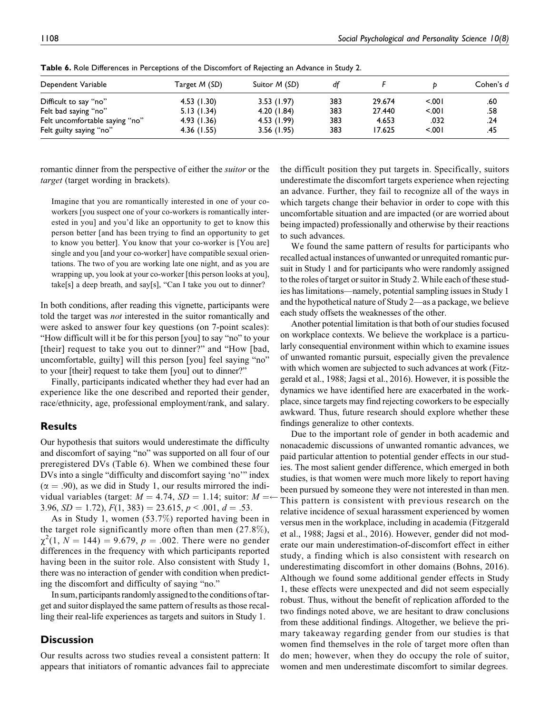| Dependent Variable             | Target M (SD) | Suitor <i>M</i> (SD) | df  |        |         | Cohen's d |
|--------------------------------|---------------|----------------------|-----|--------|---------|-----------|
|                                |               |                      |     |        |         |           |
| Difficult to say "no"          | 4.53(1.30)    | 3.53(1.97)           | 383 | 29.674 | < 001   | .60       |
| Felt bad saying "no"           | 5.13(1.34)    | 4.20(1.84)           | 383 | 27.440 | < 0.001 | .58       |
| Felt uncomfortable saying "no" | 4.93(1.36)    | 4.53 (1.99)          | 383 | 4.653  | .032    | .24       |
| Felt guilty saying "no"        | 4.36(1.55)    | 3.56(1.95)           | 383 | 17.625 | 5.001   | .45       |

Table 6. Role Differences in Perceptions of the Discomfort of Rejecting an Advance in Study 2.

romantic dinner from the perspective of either the suitor or the target (target wording in brackets).

Imagine that you are romantically interested in one of your coworkers [you suspect one of your co-workers is romantically interested in you] and you'd like an opportunity to get to know this person better [and has been trying to find an opportunity to get to know you better]. You know that your co-worker is [You are] single and you [and your co-worker] have compatible sexual orientations. The two of you are working late one night, and as you are wrapping up, you look at your co-worker [this person looks at you], take[s] a deep breath, and say[s], "Can I take you out to dinner?

In both conditions, after reading this vignette, participants were told the target was not interested in the suitor romantically and were asked to answer four key questions (on 7-point scales): "How difficult will it be for this person [you] to say "no" to your [their] request to take you out to dinner?" and "How [bad, uncomfortable, guilty] will this person [you] feel saying "no" to your [their] request to take them [you] out to dinner?"

Finally, participants indicated whether they had ever had an experience like the one described and reported their gender, race/ethnicity, age, professional employment/rank, and salary.

# Results

Our hypothesis that suitors would underestimate the difficulty and discomfort of saying "no" was supported on all four of our preregistered DVs (Table 6). When we combined these four DVs into a single "difficulty and discomfort saying 'no'" index  $(\alpha = .90)$ , as we did in Study 1, our results mirrored the individual variables (target:  $M = 4.74$ ,  $SD = 1.14$ ; suitor:  $M =$ 3.96,  $SD = 1.72$ ),  $F(1, 383) = 23.615$ ,  $p < .001$ ,  $d = .53$ .

As in Study 1, women (53.7%) reported having been in the target role significantly more often than men  $(27.8\%),$  $\chi^2(1, N = 144) = 9.679, p = .002$ . There were no gender differences in the frequency with which participants reported having been in the suitor role. Also consistent with Study 1, there was no interaction of gender with condition when predicting the discomfort and difficulty of saying "no."

In sum, participants randomly assigned to the conditions of target and suitor displayed the same pattern of results asthose recalling their real-life experiences as targets and suitors in Study 1.

# **Discussion**

Our results across two studies reveal a consistent pattern: It appears that initiators of romantic advances fail to appreciate the difficult position they put targets in. Specifically, suitors underestimate the discomfort targets experience when rejecting an advance. Further, they fail to recognize all of the ways in which targets change their behavior in order to cope with this uncomfortable situation and are impacted (or are worried about being impacted) professionally and otherwise by their reactions to such advances.

We found the same pattern of results for participants who recalled actual instances of unwanted or unrequited romantic pursuit in Study 1 and for participants who were randomly assigned to the roles of target or suitor in Study 2. While each of these studies has limitations—namely, potential sampling issues in Study 1 and the hypothetical nature of Study 2—as a package, we believe each study offsets the weaknesses of the other.

Another potential limitation is that both of our studies focused on workplace contexts. We believe the workplace is a particularly consequential environment within which to examine issues of unwanted romantic pursuit, especially given the prevalence with which women are subjected to such advances at work (Fitzgerald et al., 1988; Jagsi et al., 2016). However, it is possible the dynamics we have identified here are exacerbated in the workplace, since targets may find rejecting coworkers to be especially awkward. Thus, future research should explore whether these findings generalize to other contexts.

Due to the important role of gender in both academic and nonacademic discussions of unwanted romantic advances, we paid particular attention to potential gender effects in our studies. The most salient gender difference, which emerged in both studies, is that women were much more likely to report having been pursued by someone they were not interested in than men. This pattern is consistent with previous research on the relative incidence of sexual harassment experienced by women versus men in the workplace, including in academia (Fitzgerald et al., 1988; Jagsi et al., 2016). However, gender did not moderate our main underestimation-of-discomfort effect in either study, a finding which is also consistent with research on underestimating discomfort in other domains (Bohns, 2016). Although we found some additional gender effects in Study 1, these effects were unexpected and did not seem especially robust. Thus, without the benefit of replication afforded to the two findings noted above, we are hesitant to draw conclusions from these additional findings. Altogether, we believe the primary takeaway regarding gender from our studies is that women find themselves in the role of target more often than do men; however, when they do occupy the role of suitor, women and men underestimate discomfort to similar degrees.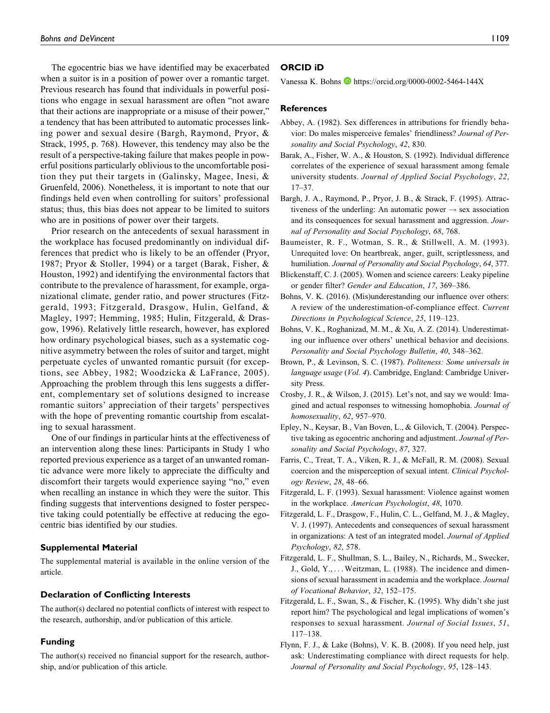The egocentric bias we have identified may be exacerbated when a suitor is in a position of power over a romantic target. Previous research has found that individuals in powerful positions who engage in sexual harassment are often "not aware that their actions are inappropriate or a misuse of their power," a tendency that has been attributed to automatic processes linking power and sexual desire (Bargh, Raymond, Pryor, & Strack, 1995, p. 768). However, this tendency may also be the result of a perspective-taking failure that makes people in powerful positions particularly oblivious to the uncomfortable position they put their targets in (Galinsky, Magee, Inesi, & Gruenfeld, 2006). Nonetheless, it is important to note that our findings held even when controlling for suitors' professional status; thus, this bias does not appear to be limited to suitors who are in positions of power over their targets.

Prior research on the antecedents of sexual harassment in the workplace has focused predominantly on individual differences that predict who is likely to be an offender (Pryor, 1987; Pryor & Stoller, 1994) or a target (Barak, Fisher, & Houston, 1992) and identifying the environmental factors that contribute to the prevalence of harassment, for example, organizational climate, gender ratio, and power structures (Fitzgerald, 1993; Fitzgerald, Drasgow, Hulin, Gelfand, & Magley, 1997; Hemming, 1985; Hulin, Fitzgerald, & Drasgow, 1996). Relatively little research, however, has explored how ordinary psychological biases, such as a systematic cognitive asymmetry between the roles of suitor and target, might perpetuate cycles of unwanted romantic pursuit (for exceptions, see Abbey, 1982; Woodzicka & LaFrance, 2005). Approaching the problem through this lens suggests a different, complementary set of solutions designed to increase romantic suitors' appreciation of their targets' perspectives with the hope of preventing romantic courtship from escalating to sexual harassment.

One of our findings in particular hints at the effectiveness of an intervention along these lines: Participants in Study 1 who reported previous experience as a target of an unwanted romantic advance were more likely to appreciate the difficulty and discomfort their targets would experience saying "no," even when recalling an instance in which they were the suitor. This finding suggests that interventions designed to foster perspective taking could potentially be effective at reducing the egocentric bias identified by our studies.

#### Supplemental Material

The supplemental material is available in the online version of the article.

#### Declaration of Conflicting Interests

The author(s) declared no potential conflicts of interest with respect to the research, authorship, and/or publication of this article.

### Funding

The author(s) received no financial support for the research, authorship, and/or publication of this article.

#### ORCID iD

Vanessa K. Bohns  $\bullet$  <https://orcid.org/0000-0002-5464-144X>

#### **References**

- Abbey, A. (1982). Sex differences in attributions for friendly behavior: Do males misperceive females' friendliness? Journal of Personality and Social Psychology, 42, 830.
- Barak, A., Fisher, W. A., & Houston, S. (1992). Individual difference correlates of the experience of sexual harassment among female university students. Journal of Applied Social Psychology, 22, 17–37.
- Bargh, J. A., Raymond, P., Pryor, J. B., & Strack, F. (1995). Attractiveness of the underling: An automatic power  $\rightarrow$  sex association and its consequences for sexual harassment and aggression. Journal of Personality and Social Psychology, 68, 768.
- Baumeister, R. F., Wotman, S. R., & Stillwell, A. M. (1993). Unrequited love: On heartbreak, anger, guilt, scriptlessness, and humiliation. Journal of Personality and Social Psychology, 64, 377.
- Blickenstaff, C. J. (2005). Women and science careers: Leaky pipeline or gender filter? Gender and Education, 17, 369–386.
- Bohns, V. K. (2016). (Mis)underestanding our influence over others: A review of the underestimation-of-compliance effect. Current Directions in Psychological Science, 25, 119–123.
- Bohns, V. K., Roghanizad, M. M., & Xu, A. Z. (2014). Underestimating our influence over others' unethical behavior and decisions. Personality and Social Psychology Bulletin, 40, 348–362.
- Brown, P., & Levinson, S. C. (1987). Politeness: Some universals in language usage (Vol. 4). Cambridge, England: Cambridge University Press.
- Crosby, J. R., & Wilson, J. (2015). Let's not, and say we would: Imagined and actual responses to witnessing homophobia. Journal of homosexuality, 62, 957-970.
- Epley, N., Keysar, B., Van Boven, L., & Gilovich, T. (2004). Perspective taking as egocentric anchoring and adjustment. Journal of Personality and Social Psychology, 87, 327.
- Farris, C., Treat, T. A., Viken, R. J., & McFall, R. M. (2008). Sexual coercion and the misperception of sexual intent. Clinical Psychology Review, 28, 48–66.
- Fitzgerald, L. F. (1993). Sexual harassment: Violence against women in the workplace. American Psychologist, 48, 1070.
- Fitzgerald, L. F., Drasgow, F., Hulin, C. L., Gelfand, M. J., & Magley, V. J. (1997). Antecedents and consequences of sexual harassment in organizations: A test of an integrated model. Journal of Applied Psychology, 82, 578.
- Fitzgerald, L. F., Shullman, S. L., Bailey, N., Richards, M., Swecker, J., Gold, Y., ... Weitzman, L. (1988). The incidence and dimensions of sexual harassment in academia and the workplace. Journal of Vocational Behavior, 32, 152–175.
- Fitzgerald, L. F., Swan, S., & Fischer, K. (1995). Why didn't she just report him? The psychological and legal implications of women's responses to sexual harassment. Journal of Social Issues, 51, 117–138.
- Flynn, F. J., & Lake (Bohns), V. K. B. (2008). If you need help, just ask: Underestimating compliance with direct requests for help. Journal of Personality and Social Psychology, 95, 128–143.